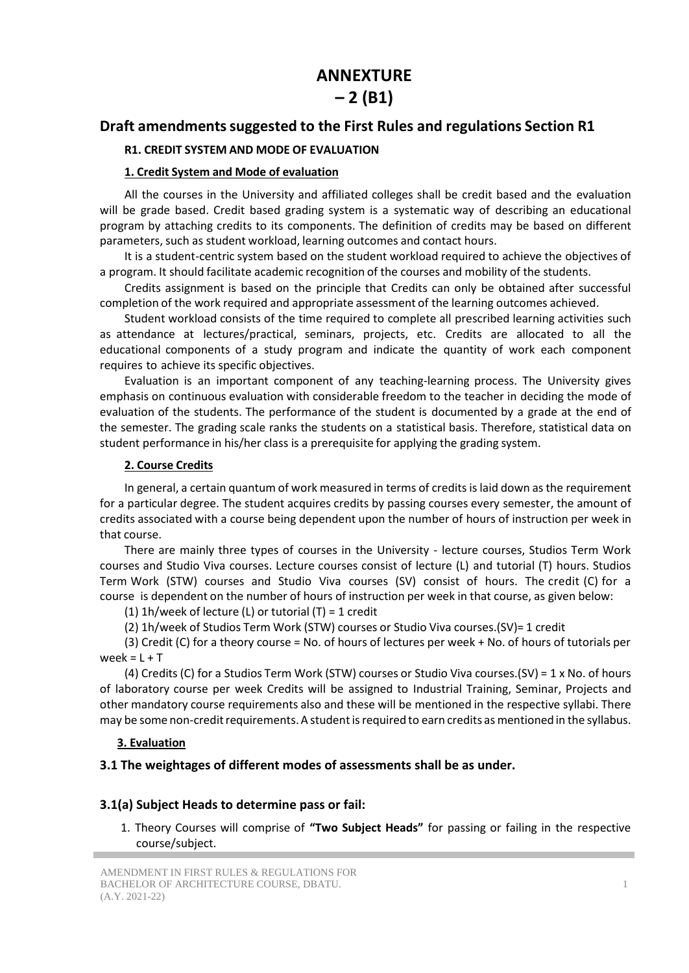# **ANNEXTURE**

# **– 2 (B1)**

#### **Draft amendmentssuggested to the First Rules and regulations Section R1**

#### **R1. CREDIT SYSTEM AND MODE OF EVALUATION**

#### **1. Credit System and Mode of evaluation**

All the courses in the University and affiliated colleges shall be credit based and the evaluation will be grade based. Credit based grading system is a systematic way of describing an educational program by attaching credits to its components. The definition of credits may be based on different parameters, such as student workload, learning outcomes and contact hours.

It is a student-centric system based on the student workload required to achieve the objectives of a program. It should facilitate academic recognition of the courses and mobility of the students.

Credits assignment is based on the principle that Credits can only be obtained after successful completion of the work required and appropriate assessment of the learning outcomes achieved.

Student workload consists of the time required to complete all prescribed learning activities such as attendance at lectures/practical, seminars, projects, etc. Credits are allocated to all the educational components of a study program and indicate the quantity of work each component requires to achieve its specific objectives.

Evaluation is an important component of any teaching-learning process. The University gives emphasis on continuous evaluation with considerable freedom to the teacher in deciding the mode of evaluation of the students. The performance of the student is documented by a grade at the end of the semester. The grading scale ranks the students on a statistical basis. Therefore, statistical data on student performance in his/her class is a prerequisite for applying the grading system.

#### **2. Course Credits**

In general, a certain quantum of work measured in terms of creditsis laid down as the requirement for a particular degree. The student acquires credits by passing courses every semester, the amount of credits associated with a course being dependent upon the number of hours of instruction per week in that course.

There are mainly three types of courses in the University - lecture courses, Studios Term Work courses and Studio Viva courses. Lecture courses consist of lecture (L) and tutorial (T) hours. Studios Term Work (STW) courses and Studio Viva courses (SV) consist of hours. The credit (C) for a course is dependent on the number of hours of instruction per week in that course, as given below:

(1) 1h/week of lecture (L) or tutorial  $(T) = 1$  credit

(2) 1h/week of Studios Term Work (STW) courses or Studio Viva courses.(SV)= 1 credit

(3) Credit (C) for a theory course = No. of hours of lectures per week + No. of hours of tutorials per week =  $L + T$ 

(4) Credits (C) for a Studios Term Work (STW) courses or Studio Viva courses.(SV) = 1 x No. of hours of laboratory course per week Credits will be assigned to Industrial Training, Seminar, Projects and other mandatory course requirements also and these will be mentioned in the respective syllabi. There may be some non-credit requirements. A student is required to earn credits as mentioned in the syllabus.

#### **3. Evaluation**

#### **3.1 The weightages of different modes of assessments shall be as under.**

#### **3.1(a) Subject Heads to determine pass or fail:**

1. Theory Courses will comprise of **"Two Subject Heads"** for passing or failing in the respective course/subject.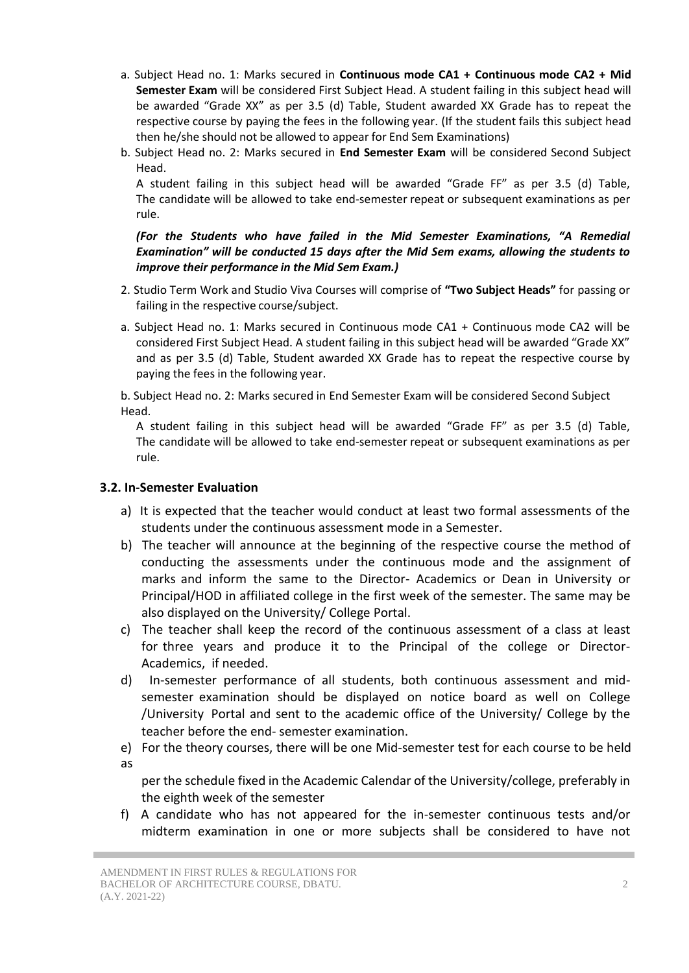- a. Subject Head no. 1: Marks secured in **Continuous mode CA1 + Continuous mode CA2 + Mid Semester Exam** will be considered First Subject Head. A student failing in this subject head will be awarded "Grade XX" as per 3.5 (d) Table, Student awarded XX Grade has to repeat the respective course by paying the fees in the following year. (If the student fails this subject head then he/she should not be allowed to appear for End Sem Examinations)
- b. Subject Head no. 2: Marks secured in **End Semester Exam** will be considered Second Subject Head.

A student failing in this subject head will be awarded "Grade FF" as per 3.5 (d) Table, The candidate will be allowed to take end-semester repeat or subsequent examinations as per rule.

#### *(For the Students who have failed in the Mid Semester Examinations, "A Remedial Examination" will be conducted 15 days after the Mid Sem exams, allowing the students to improve their performance in the Mid Sem Exam.)*

- 2. Studio Term Work and Studio Viva Courses will comprise of **"Two Subject Heads"** for passing or failing in the respective course/subject.
- a. Subject Head no. 1: Marks secured in Continuous mode CA1 + Continuous mode CA2 will be considered First Subject Head. A student failing in this subject head will be awarded "Grade XX" and as per 3.5 (d) Table, Student awarded XX Grade has to repeat the respective course by paying the fees in the following year.

b. Subject Head no. 2: Marks secured in End Semester Exam will be considered Second Subject Head.

A student failing in this subject head will be awarded "Grade FF" as per 3.5 (d) Table, The candidate will be allowed to take end-semester repeat or subsequent examinations as per rule.

#### **3.2. In-Semester Evaluation**

- a) It is expected that the teacher would conduct at least two formal assessments of the students under the continuous assessment mode in a Semester.
- b) The teacher will announce at the beginning of the respective course the method of conducting the assessments under the continuous mode and the assignment of marks and inform the same to the Director- Academics or Dean in University or Principal/HOD in affiliated college in the first week of the semester. The same may be also displayed on the University/ College Portal.
- c) The teacher shall keep the record of the continuous assessment of a class at least for three years and produce it to the Principal of the college or Director-Academics, if needed.
- d) In-semester performance of all students, both continuous assessment and midsemester examination should be displayed on notice board as well on College /University Portal and sent to the academic office of the University/ College by the teacher before the end- semester examination.
- e) For the theory courses, there will be one Mid-semester test for each course to be held as

per the schedule fixed in the Academic Calendar of the University/college, preferably in the eighth week of the semester

f) A candidate who has not appeared for the in-semester continuous tests and/or midterm examination in one or more subjects shall be considered to have not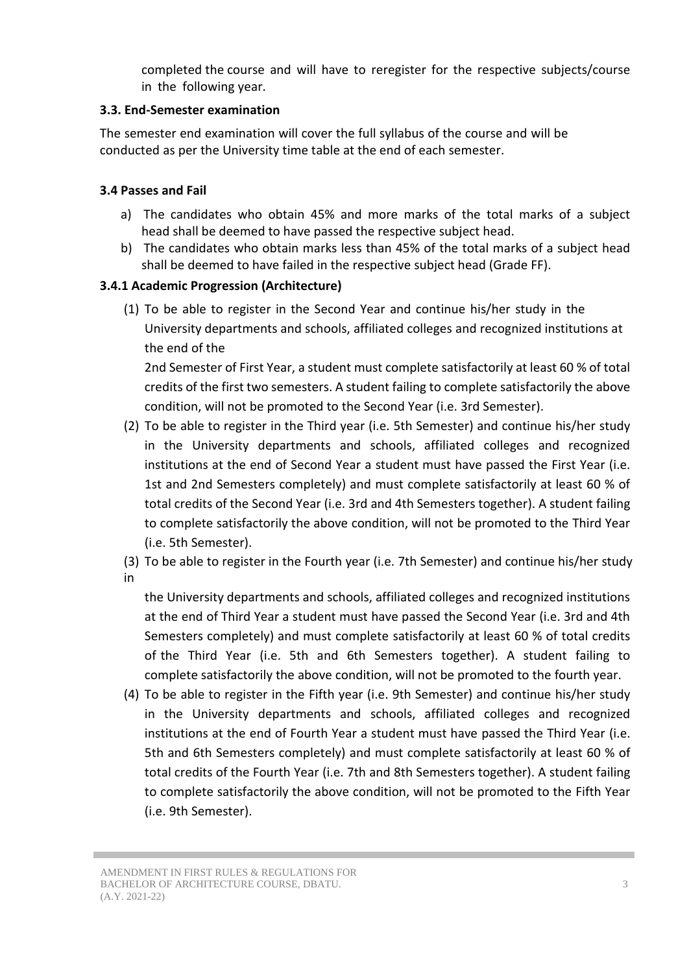completed the course and will have to reregister for the respective subjects/course in the following year.

### **3.3. End-Semester examination**

The semester end examination will cover the full syllabus of the course and will be conducted as per the University time table at the end of each semester.

### **3.4 Passes and Fail**

- a) The candidates who obtain 45% and more marks of the total marks of a subject head shall be deemed to have passed the respective subject head.
- b) The candidates who obtain marks less than 45% of the total marks of a subject head shall be deemed to have failed in the respective subject head (Grade FF).

### **3.4.1 Academic Progression (Architecture)**

(1) To be able to register in the Second Year and continue his/her study in the University departments and schools, affiliated colleges and recognized institutions at the end of the

2nd Semester of First Year, a student must complete satisfactorily at least 60 % of total credits of the first two semesters. A student failing to complete satisfactorily the above condition, will not be promoted to the Second Year (i.e. 3rd Semester).

- (2) To be able to register in the Third year (i.e. 5th Semester) and continue his/her study in the University departments and schools, affiliated colleges and recognized institutions at the end of Second Year a student must have passed the First Year (i.e. 1st and 2nd Semesters completely) and must complete satisfactorily at least 60 % of total credits of the Second Year (i.e. 3rd and 4th Semesters together). A student failing to complete satisfactorily the above condition, will not be promoted to the Third Year (i.e. 5th Semester).
- (3) To be able to register in the Fourth year (i.e. 7th Semester) and continue his/her study

in

the University departments and schools, affiliated colleges and recognized institutions at the end of Third Year a student must have passed the Second Year (i.e. 3rd and 4th Semesters completely) and must complete satisfactorily at least 60 % of total credits of the Third Year (i.e. 5th and 6th Semesters together). A student failing to complete satisfactorily the above condition, will not be promoted to the fourth year.

(4) To be able to register in the Fifth year (i.e. 9th Semester) and continue his/her study in the University departments and schools, affiliated colleges and recognized institutions at the end of Fourth Year a student must have passed the Third Year (i.e. 5th and 6th Semesters completely) and must complete satisfactorily at least 60 % of total credits of the Fourth Year (i.e. 7th and 8th Semesters together). A student failing to complete satisfactorily the above condition, will not be promoted to the Fifth Year (i.e. 9th Semester).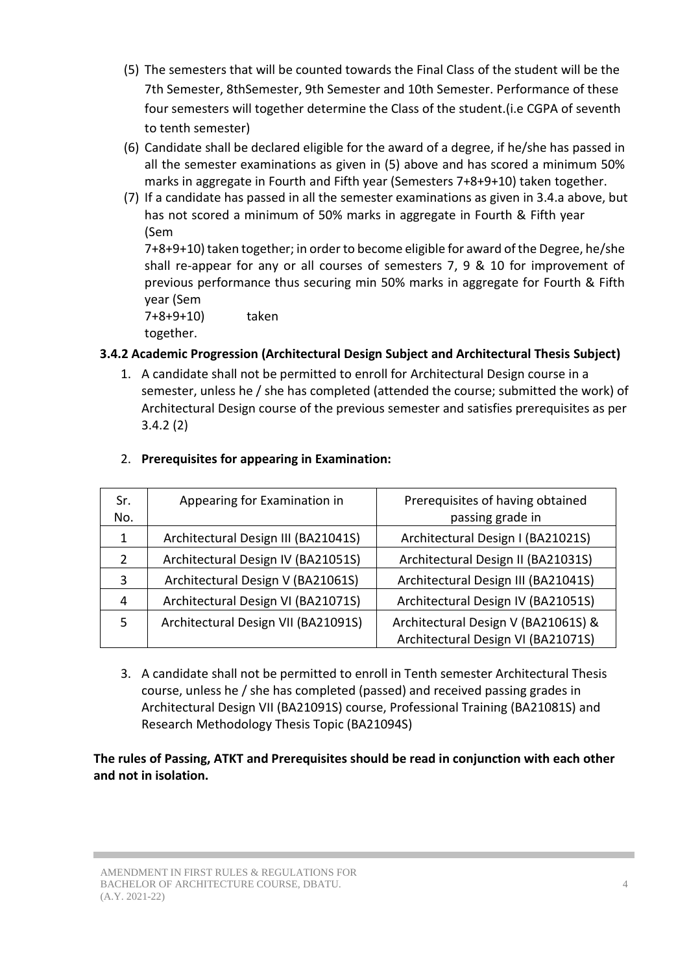- (5) The semesters that will be counted towards the Final Class of the student will be the 7th Semester, 8thSemester, 9th Semester and 10th Semester. Performance of these four semesters will together determine the Class of the student.(i.e CGPA of seventh to tenth semester)
- (6) Candidate shall be declared eligible for the award of a degree, if he/she has passed in all the semester examinations as given in (5) above and has scored a minimum 50% marks in aggregate in Fourth and Fifth year (Semesters 7+8+9+10) taken together.
- (7) If a candidate has passed in all the semester examinations as given in 3.4.a above, but has not scored a minimum of 50% marks in aggregate in Fourth & Fifth year (Sem

7+8+9+10) taken together; in orderto become eligible for award of the Degree, he/she shall re-appear for any or all courses of semesters 7, 9 & 10 for improvement of previous performance thus securing min 50% marks in aggregate for Fourth & Fifth year (Sem

7+8+9+10) taken together.

# **3.4.2 Academic Progression (Architectural Design Subject and Architectural Thesis Subject)**

1. A candidate shall not be permitted to enroll for Architectural Design course in a semester, unless he / she has completed (attended the course; submitted the work) of Architectural Design course of the previous semester and satisfies prerequisites as per 3.4.2 (2)

| Sr.<br>No.    | Appearing for Examination in        | Prerequisites of having obtained<br>passing grade in                      |
|---------------|-------------------------------------|---------------------------------------------------------------------------|
| 1             | Architectural Design III (BA21041S) | Architectural Design I (BA21021S)                                         |
| $\mathcal{P}$ | Architectural Design IV (BA21051S)  | Architectural Design II (BA21031S)                                        |
| 3             | Architectural Design V (BA21061S)   | Architectural Design III (BA21041S)                                       |
| 4             | Architectural Design VI (BA21071S)  | Architectural Design IV (BA21051S)                                        |
| 5             | Architectural Design VII (BA21091S) | Architectural Design V (BA21061S) &<br>Architectural Design VI (BA21071S) |

#### 2. **Prerequisites for appearing in Examination:**

3. A candidate shall not be permitted to enroll in Tenth semester Architectural Thesis course, unless he / she has completed (passed) and received passing grades in Architectural Design VII (BA21091S) course, Professional Training (BA21081S) and Research Methodology Thesis Topic (BA21094S)

### **The rules of Passing, ATKT and Prerequisites should be read in conjunction with each other and not in isolation.**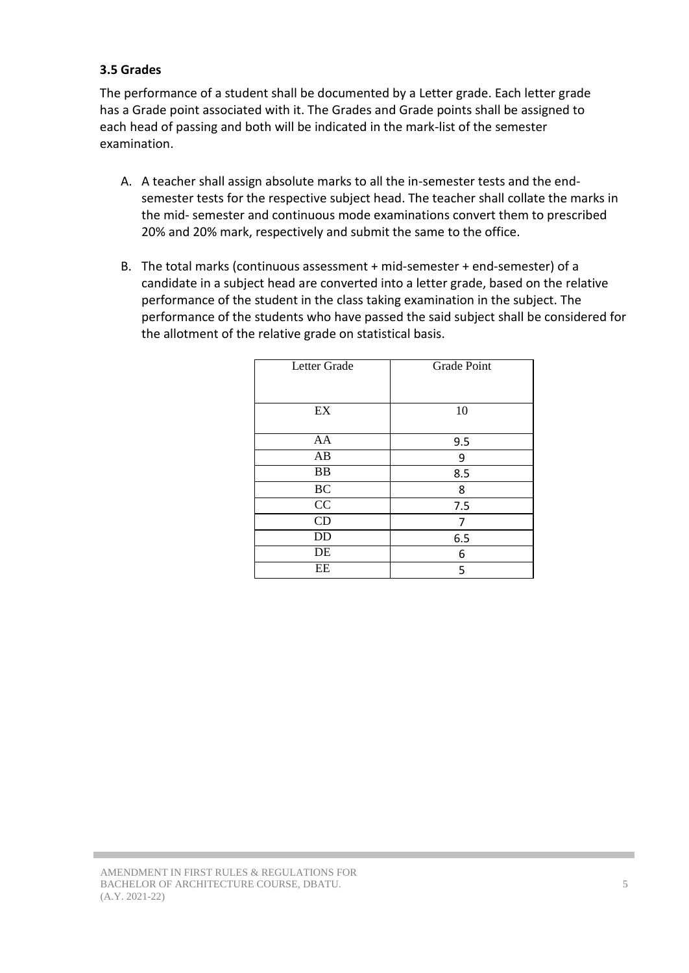### **3.5 Grades**

The performance of a student shall be documented by a Letter grade. Each letter grade has a Grade point associated with it. The Grades and Grade points shall be assigned to each head of passing and both will be indicated in the mark-list of the semester examination.

- A. A teacher shall assign absolute marks to all the in-semester tests and the endsemester tests for the respective subject head. The teacher shall collate the marks in the mid- semester and continuous mode examinations convert them to prescribed 20% and 20% mark, respectively and submit the same to the office.
- B. The total marks (continuous assessment + mid-semester + end-semester) of a candidate in a subject head are converted into a letter grade, based on the relative performance of the student in the class taking examination in the subject. The performance of the students who have passed the said subject shall be considered for the allotment of the relative grade on statistical basis.

| Grade Point |
|-------------|
|             |
|             |
|             |
|             |
| 10          |
|             |
| 9.5         |
| 9           |
| 8.5         |
| 8           |
| 7.5         |
| 7           |
| 6.5         |
| 6           |
| 5           |
|             |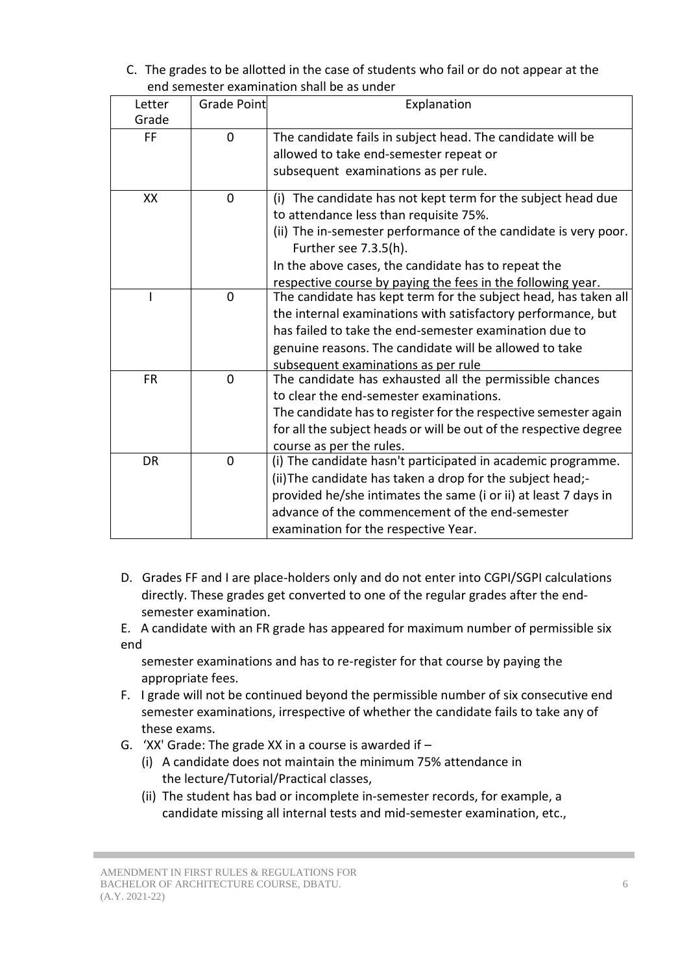C. The grades to be allotted in the case of students who fail or do not appear at the end semester examination shall be as under

| CHU SCHICStCL CAUHIIHUtion Shuil DC uS UNUCI |             |                                                                   |  |  |
|----------------------------------------------|-------------|-------------------------------------------------------------------|--|--|
| Letter                                       | Grade Point | Explanation                                                       |  |  |
| Grade                                        |             |                                                                   |  |  |
| <b>FF</b>                                    | $\mathbf 0$ | The candidate fails in subject head. The candidate will be        |  |  |
|                                              |             | allowed to take end-semester repeat or                            |  |  |
|                                              |             | subsequent examinations as per rule.                              |  |  |
| XX                                           | $\mathbf 0$ | (i) The candidate has not kept term for the subject head due      |  |  |
|                                              |             | to attendance less than requisite 75%.                            |  |  |
|                                              |             | (ii) The in-semester performance of the candidate is very poor.   |  |  |
|                                              |             | Further see 7.3.5(h).                                             |  |  |
|                                              |             | In the above cases, the candidate has to repeat the               |  |  |
|                                              |             | respective course by paying the fees in the following year.       |  |  |
|                                              | $\mathbf 0$ | The candidate has kept term for the subject head, has taken all   |  |  |
|                                              |             | the internal examinations with satisfactory performance, but      |  |  |
|                                              |             | has failed to take the end-semester examination due to            |  |  |
|                                              |             | genuine reasons. The candidate will be allowed to take            |  |  |
|                                              |             | subsequent examinations as per rule                               |  |  |
| <b>FR</b>                                    | $\mathbf 0$ | The candidate has exhausted all the permissible chances           |  |  |
|                                              |             | to clear the end-semester examinations.                           |  |  |
|                                              |             | The candidate has to register for the respective semester again   |  |  |
|                                              |             | for all the subject heads or will be out of the respective degree |  |  |
|                                              |             | course as per the rules.                                          |  |  |
| $\mathbf 0$<br><b>DR</b>                     |             | (i) The candidate hasn't participated in academic programme.      |  |  |
|                                              |             | (ii) The candidate has taken a drop for the subject head;-        |  |  |
|                                              |             | provided he/she intimates the same (i or ii) at least 7 days in   |  |  |
|                                              |             | advance of the commencement of the end-semester                   |  |  |
|                                              |             | examination for the respective Year.                              |  |  |

- D. Grades FF and I are place-holders only and do not enter into CGPI/SGPI calculations directly. These grades get converted to one of the regular grades after the endsemester examination.
- E. A candidate with an FR grade has appeared for maximum number of permissible six end

semester examinations and has to re-register for that course by paying the appropriate fees.

- F. I grade will not be continued beyond the permissible number of six consecutive end semester examinations, irrespective of whether the candidate fails to take any of these exams.
- G. 'XX' Grade: The grade XX in a course is awarded if  $-$ 
	- (i) A candidate does not maintain the minimum 75% attendance in the lecture/Tutorial/Practical classes,
	- (ii) The student has bad or incomplete in-semester records, for example, a candidate missing all internal tests and mid-semester examination, etc.,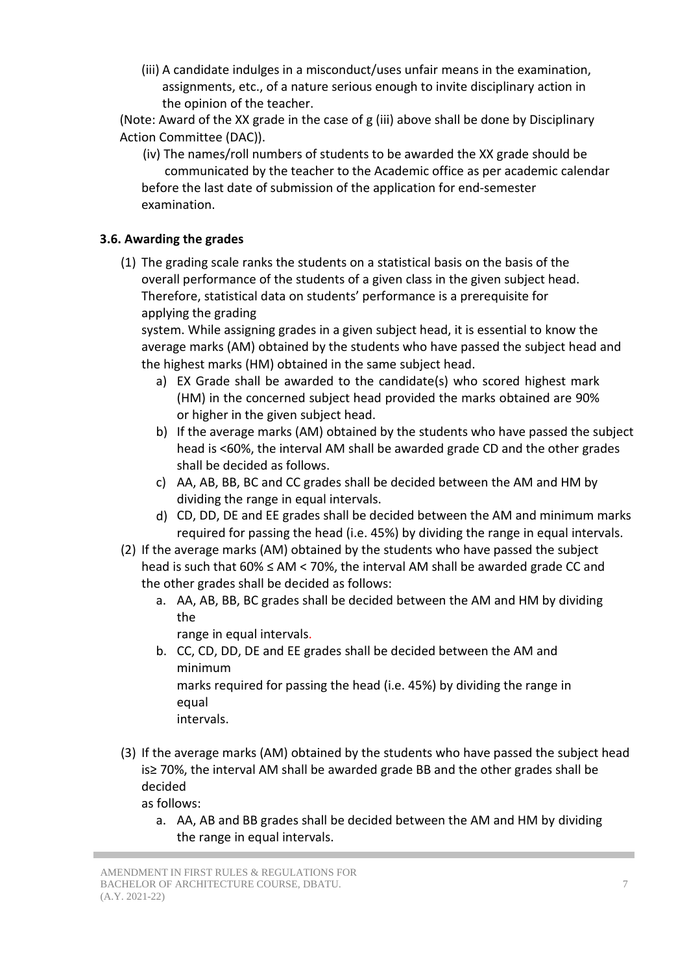(iii) A candidate indulges in a misconduct/uses unfair means in the examination, assignments, etc., of a nature serious enough to invite disciplinary action in the opinion of the teacher.

(Note: Award of the XX grade in the case of g (iii) above shall be done by Disciplinary Action Committee (DAC)).

 (iv) The names/roll numbers of students to be awarded the XX grade should be communicated by the teacher to the Academic office as per academic calendar before the last date of submission of the application for end-semester examination.

### **3.6. Awarding the grades**

(1) The grading scale ranks the students on a statistical basis on the basis of the overall performance of the students of a given class in the given subject head. Therefore, statistical data on students' performance is a prerequisite for applying the grading

system. While assigning grades in a given subject head, it is essential to know the average marks (AM) obtained by the students who have passed the subject head and the highest marks (HM) obtained in the same subject head.

- a) EX Grade shall be awarded to the candidate(s) who scored highest mark (HM) in the concerned subject head provided the marks obtained are 90% or higher in the given subject head.
- b) If the average marks (AM) obtained by the students who have passed the subject head is <60%, the interval AM shall be awarded grade CD and the other grades shall be decided as follows.
- c) AA, AB, BB, BC and CC grades shall be decided between the AM and HM by dividing the range in equal intervals.
- d) CD, DD, DE and EE grades shall be decided between the AM and minimum marks required for passing the head (i.e. 45%) by dividing the range in equal intervals.
- (2) If the average marks (AM) obtained by the students who have passed the subject head is such that 60% ≤ AM < 70%, the interval AM shall be awarded grade CC and the other grades shall be decided as follows:
	- a. AA, AB, BB, BC grades shall be decided between the AM and HM by dividing the

range in equal intervals.

- b. CC, CD, DD, DE and EE grades shall be decided between the AM and minimum marks required for passing the head (i.e. 45%) by dividing the range in equal intervals.
- (3) If the average marks (AM) obtained by the students who have passed the subject head is≥ 70%, the interval AM shall be awarded grade BB and the other grades shall be decided

as follows:

a. AA, AB and BB grades shall be decided between the AM and HM by dividing the range in equal intervals.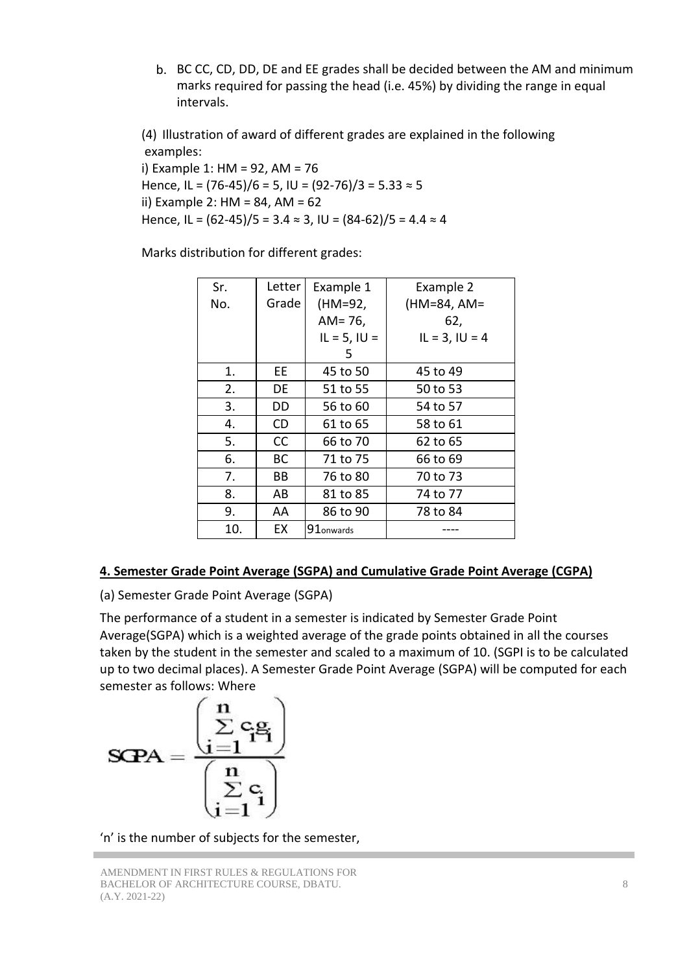b. BC CC, CD, DD, DE and EE grades shall be decided between the AM and minimum marks required for passing the head (i.e. 45%) by dividing the range in equal intervals.

(4) Illustration of award of different grades are explained in the following examples:

i) Example 1: HM = 92, AM = 76 Hence, IL =  $(76-45)/6 = 5$ , IU =  $(92-76)/3 = 5.33 \approx 5$ ii) Example 2: HM = 84, AM = 62 Hence, IL =  $(62-45)/5 = 3.4 \approx 3$ , IU =  $(84-62)/5 = 4.4 \approx 4$ 

Marks distribution for different grades:

| Sr. | Letter    | Example 1             | Example 2           |
|-----|-----------|-----------------------|---------------------|
| No. | Grade     | (HM=92,               | (HM=84, AM=         |
|     |           | $AM = 76$ ,           | 62,                 |
|     |           | $IL = 5, IU =$        | $IL = 3$ , $IU = 4$ |
|     |           | 5                     |                     |
| 1.  | EЕ        | 45 to 50              | 45 to 49            |
| 2.  | DE        | 51 to 55              | 50 to 53            |
| 3.  | DD        | 56 to 60              | 54 to 57            |
| 4.  | CD.       | 61 to 65              | 58 to 61            |
| 5.  | <b>CC</b> | 66 to 70              | 62 to 65            |
| 6.  | BC        | 71 to 75              | 66 to 69            |
| 7.  | ВB        | 76 to 80              | 70 to 73            |
| 8.  | AB        | 81 to 85              | 74 to 77            |
| 9.  | AA        | 86 to 90              | 78 to 84            |
| 10. | EX        | 91 <sub>onwards</sub> |                     |
|     |           |                       |                     |

### **4. Semester Grade Point Average (SGPA) and Cumulative Grade Point Average (CGPA)**

(a) Semester Grade Point Average (SGPA)

The performance of a student in a semester is indicated by Semester Grade Point Average(SGPA) which is a weighted average of the grade points obtained in all the courses taken by the student in the semester and scaled to a maximum of 10. (SGPI is to be calculated up to two decimal places). A Semester Grade Point Average (SGPA) will be computed for each semester as follows: Where

$$
\text{SQPA} = \frac{\left(\begin{matrix} n \\ \sum\limits_{i=1}^{n} c_i g_i \\ \vdots \\ \sum\limits_{i=1}^{n} c_i \end{matrix}\right)}{\left(\begin{matrix} n \\ \sum\limits_{i=1}^{n} c_i \\ \vdots \end{matrix}\right)}
$$

'n' is the number of subjects for the semester,

AMENDMENT IN FIRST RULES & REGULATIONS FOR BACHELOR OF ARCHITECTURE COURSE, DBATU. (A.Y. 2021-22)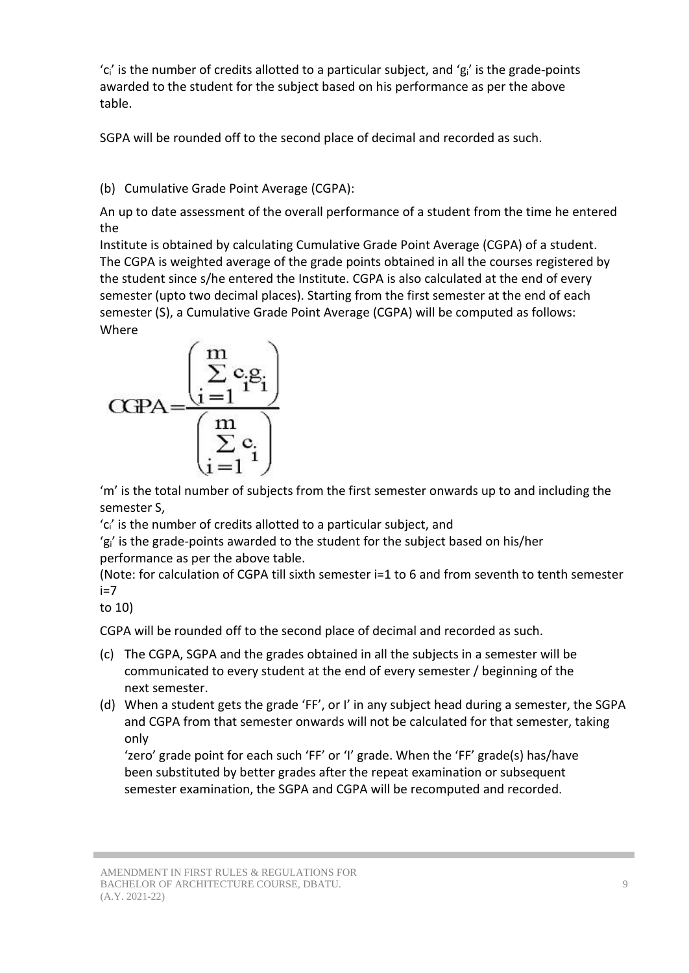$^{\prime}$ c' is the number of credits allotted to a particular subject, and  $^{\prime}$ g' is the grade-points awarded to the student for the subject based on his performance as per the above table.

SGPA will be rounded off to the second place of decimal and recorded as such.

(b) Cumulative Grade Point Average (CGPA):

An up to date assessment of the overall performance of a student from the time he entered the

Institute is obtained by calculating Cumulative Grade Point Average (CGPA) of a student. The CGPA is weighted average of the grade points obtained in all the courses registered by the student since s/he entered the Institute. CGPA is also calculated at the end of every semester (upto two decimal places). Starting from the first semester at the end of each semester (S), a Cumulative Grade Point Average (CGPA) will be computed as follows: Where

$$
CCPA = \frac{\left(\sum\limits_{i=1}^{m}c_{i}g_{i}\right)}{\left(\sum\limits_{i=1}^{m}c_{i}\right)}
$$

'm' is the total number of subjects from the first semester onwards up to and including the semester S,

'ci' is the number of credits allotted to a particular subject, and

'gi' is the grade-points awarded to the student for the subject based on his/her performance as per the above table.

(Note: for calculation of CGPA till sixth semester i=1 to 6 and from seventh to tenth semester  $i=7$ 

to 10)

CGPA will be rounded off to the second place of decimal and recorded as such.

- (c) The CGPA, SGPA and the grades obtained in all the subjects in a semester will be communicated to every student at the end of every semester / beginning of the next semester.
- (d) When a student gets the grade 'FF', or I' in any subject head during a semester, the SGPA and CGPA from that semester onwards will not be calculated for that semester, taking only

'zero' grade point for each such 'FF' or 'I' grade. When the 'FF' grade(s) has/have been substituted by better grades after the repeat examination or subsequent semester examination, the SGPA and CGPA will be recomputed and recorded.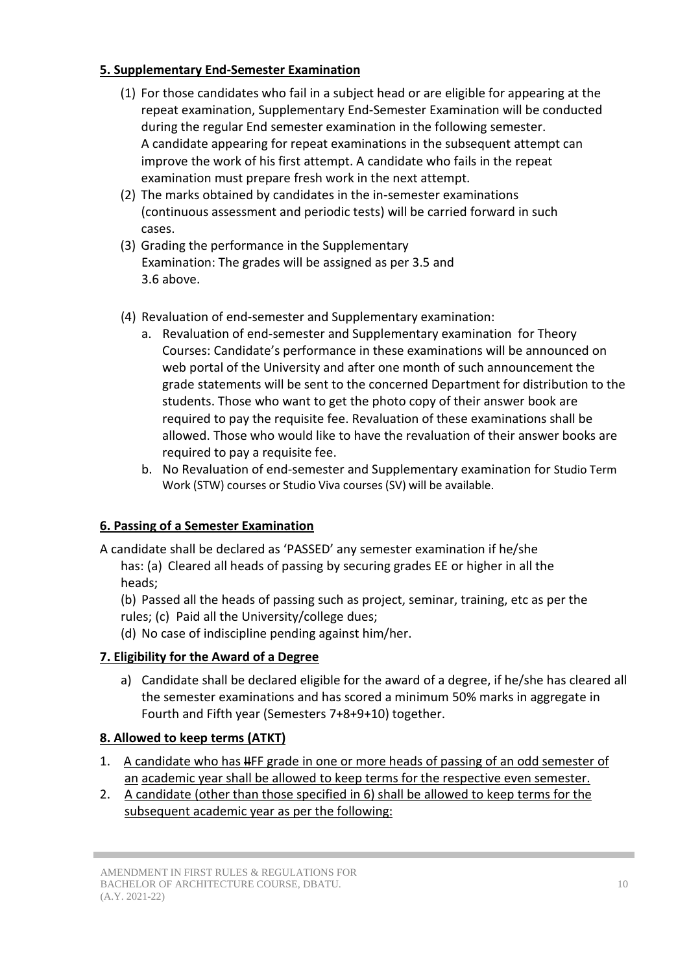## **5. Supplementary End-Semester Examination**

- (1) For those candidates who fail in a subject head or are eligible for appearing at the repeat examination, Supplementary End-Semester Examination will be conducted during the regular End semester examination in the following semester. A candidate appearing for repeat examinations in the subsequent attempt can improve the work of his first attempt. A candidate who fails in the repeat examination must prepare fresh work in the next attempt.
- (2) The marks obtained by candidates in the in-semester examinations (continuous assessment and periodic tests) will be carried forward in such cases.
- (3) Grading the performance in the Supplementary Examination: The grades will be assigned as per 3.5 and 3.6 above.
- (4) Revaluation of end-semester and Supplementary examination:
	- a. Revaluation of end-semester and Supplementary examination for Theory Courses: Candidate's performance in these examinations will be announced on web portal of the University and after one month of such announcement the grade statements will be sent to the concerned Department for distribution to the students. Those who want to get the photo copy of their answer book are required to pay the requisite fee. Revaluation of these examinations shall be allowed. Those who would like to have the revaluation of their answer books are required to pay a requisite fee.
	- b. No Revaluation of end-semester and Supplementary examination for Studio Term Work (STW) courses or Studio Viva courses (SV) will be available.

# **6. Passing of a Semester Examination**

A candidate shall be declared as 'PASSED' any semester examination if he/she has: (a) Cleared all heads of passing by securing grades EE or higher in all the heads;

(b) Passed all the heads of passing such as project, seminar, training, etc as per the rules; (c) Paid all the University/college dues;

(d) No case of indiscipline pending against him/her.

# **7. Eligibility for the Award of a Degree**

a) Candidate shall be declared eligible for the award of a degree, if he/she has cleared all the semester examinations and has scored a minimum 50% marks in aggregate in Fourth and Fifth year (Semesters 7+8+9+10) together.

# **8. Allowed to keep terms (ATKT)**

- 1. A candidate who has HFF grade in one or more heads of passing of an odd semester of an academic year shall be allowed to keep terms for the respective even semester.
- 2. A candidate (other than those specified in 6) shall be allowed to keep terms for the subsequent academic year as per the following: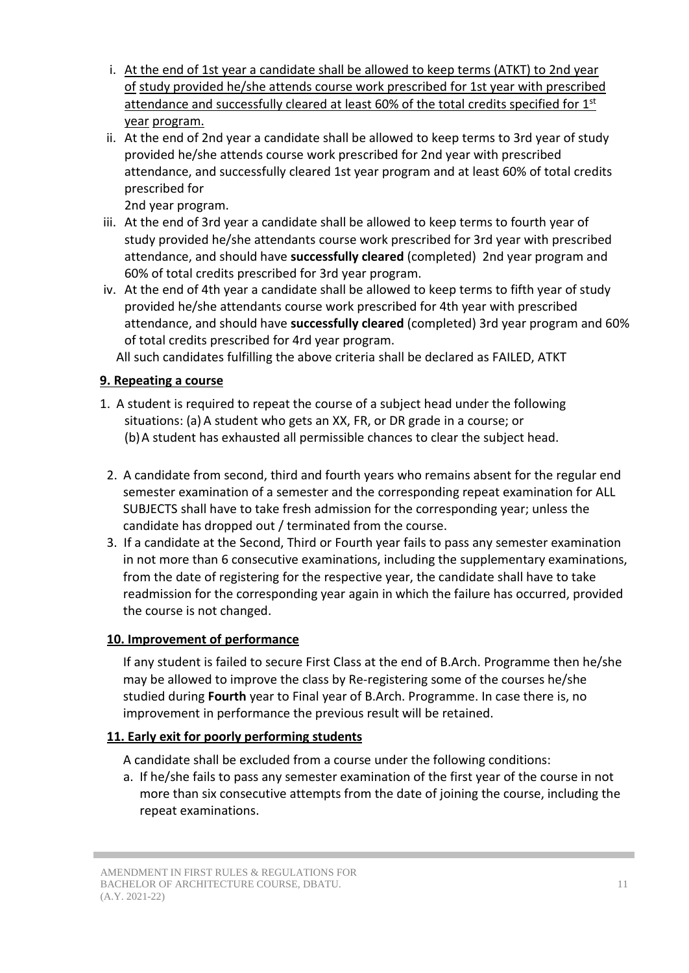- i. At the end of 1st year a candidate shall be allowed to keep terms (ATKT) to 2nd year of study provided he/she attends course work prescribed for 1st year with prescribed attendance and successfully cleared at least 60% of the total credits specified for 1<sup>st</sup> year program.
- ii. At the end of 2nd year a candidate shall be allowed to keep terms to 3rd year of study provided he/she attends course work prescribed for 2nd year with prescribed attendance, and successfully cleared 1st year program and at least 60% of total credits prescribed for

2nd year program.

- iii. At the end of 3rd year a candidate shall be allowed to keep terms to fourth year of study provided he/she attendants course work prescribed for 3rd year with prescribed attendance, and should have **successfully cleared** (completed) 2nd year program and 60% of total credits prescribed for 3rd year program.
- iv. At the end of 4th year a candidate shall be allowed to keep terms to fifth year of study provided he/she attendants course work prescribed for 4th year with prescribed attendance, and should have **successfully cleared** (completed) 3rd year program and 60% of total credits prescribed for 4rd year program.

All such candidates fulfilling the above criteria shall be declared as FAILED, ATKT

### **9. Repeating a course**

- 1. A student is required to repeat the course of a subject head under the following situations: (a) A student who gets an XX, FR, or DR grade in a course; or (b)A student has exhausted all permissible chances to clear the subject head.
- 2. A candidate from second, third and fourth years who remains absent for the regular end semester examination of a semester and the corresponding repeat examination for ALL SUBJECTS shall have to take fresh admission for the corresponding year; unless the candidate has dropped out / terminated from the course.
- 3. If a candidate at the Second, Third or Fourth year fails to pass any semester examination in not more than 6 consecutive examinations, including the supplementary examinations, from the date of registering for the respective year, the candidate shall have to take readmission for the corresponding year again in which the failure has occurred, provided the course is not changed.

#### **10. Improvement of performance**

If any student is failed to secure First Class at the end of B.Arch. Programme then he/she may be allowed to improve the class by Re-registering some of the courses he/she studied during **Fourth** year to Final year of B.Arch. Programme. In case there is, no improvement in performance the previous result will be retained.

### **11. Early exit for poorly performing students**

A candidate shall be excluded from a course under the following conditions:

a. If he/she fails to pass any semester examination of the first year of the course in not more than six consecutive attempts from the date of joining the course, including the repeat examinations.